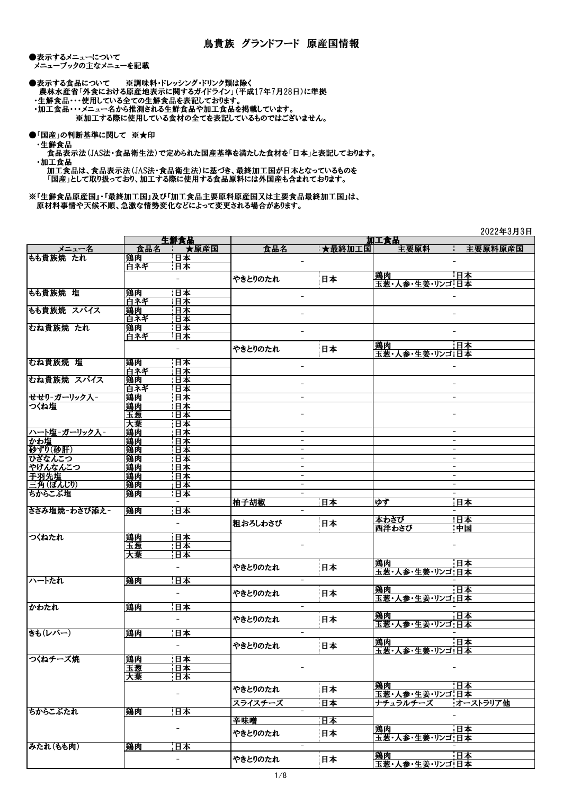●表示するメニューについて メニューブックの主なメニューを記載

●表示する食品について ※調味料・ドレッシング・ドリンク類は除く 農林水産省「外食における原産地表示に関するガイドライン」(平成17年7月28日)に準拠

・生鮮食品・・・使用している全ての生鮮食品を表記しております。

 ・加工食品・・・メニュー名から推測される生鮮食品や加工食品を掲載しています。 ※加工する際に使用している食材の全てを表記しているものではございません。

●「国産」の判断基準に関して ※★印

・生鮮食品

 食品表示法(JAS法・食品衛生法)で定められた国産基準を満たした食材を「日本」と表記しております。 ・加工食品

 加工食品は、食品表示法(JAS法・食品衛生法)に基づき、最終加工国が日本となっているものを 「国産」として取り扱っており、加工する際に使用する食品原料には外国産も含まれております。

※『生鮮食品原産国』・『最終加工国』及び『加工食品主要原料原産国又は主要食品最終加工国』は、 原材料事情や天候不順、急激な情勢変化などによって変更される場合があります。

|              |           |                          |                          |                          |                       | 2022年3月3日                |
|--------------|-----------|--------------------------|--------------------------|--------------------------|-----------------------|--------------------------|
|              |           | 生鮮食品                     |                          |                          | 加工食品                  |                          |
| メニュー名        | 食品名       | ★原産国                     | 食品名                      | ★最終加工国                   | 主要原料                  | 主要原料原産国                  |
| もも貴族焼 たれ     | 鶏肉        | 日本                       | -                        |                          |                       |                          |
|              | 白ネギ       | 日本                       |                          |                          |                       |                          |
|              |           | $\overline{\phantom{0}}$ | やきとりのたれ                  | 日本                       | 鶏肉<br>玉葱・人参・生姜・リンゴ 日本 | 日本                       |
| もも貴族焼 塩      | 鶏肉        | 日本                       |                          |                          |                       |                          |
|              | 白ネギ       | 日本                       |                          |                          |                       |                          |
| もも貴族焼 スパイス   |           | 日本                       |                          |                          |                       |                          |
|              | 鶏肉<br>白ネギ | 日本                       |                          |                          |                       |                          |
| むね貴族焼 たれ     | 鶏肉        | 日本                       |                          |                          |                       |                          |
|              |           |                          | $\overline{\phantom{a}}$ |                          |                       |                          |
|              | 白ネギ       | 日本                       |                          |                          | 鶏肉                    | 日本                       |
|              |           | $\overline{\phantom{0}}$ | やきとりのたれ                  | 日本                       | 玉葱・人参・生姜・リンゴ 日本       |                          |
| むね貴族焼 塩      | 鶏肉        | 日本                       |                          |                          |                       |                          |
|              | 白ネギ       | 日本                       | $\overline{\phantom{a}}$ |                          |                       |                          |
| むね貴族焼 スパイス   | 鶏肉        | 日本                       |                          |                          |                       |                          |
|              | 白ネギ       | 日本                       |                          |                          |                       |                          |
| せせり-ガーリック入-  | 鶏肉        | 日本                       | $\overline{\phantom{a}}$ |                          |                       | $\overline{\phantom{a}}$ |
| つくね塩         | 鶏肉        | 日本                       |                          |                          |                       |                          |
|              | 玉葱        | 日本                       |                          |                          |                       |                          |
|              | 大葉        | 日本                       |                          |                          |                       |                          |
| ハート塩-ガーリック入- | 鶏肉        | 日本                       | $\overline{\phantom{0}}$ |                          |                       |                          |
| かわ塩          | 鶏肉        | 日本                       | $\overline{\phantom{a}}$ |                          |                       | $\overline{\phantom{a}}$ |
| 砂ずり(砂肝)      | 鶏肉        | 日本                       | -                        |                          |                       | $\qquad \qquad -$        |
| ひざなんこつ       | 鶏肉        | 日本                       | -                        |                          |                       | $\overline{\phantom{a}}$ |
| やげんなんこつ      | 鶏肉        | 日本                       |                          | -                        |                       | $\qquad \qquad -$        |
| 手羽先塩         | 鶏肉        | 日本                       | $\overline{\phantom{a}}$ |                          |                       | $\overline{\phantom{a}}$ |
| 三角(ぼんじり)     | 鶏肉        | 日本                       |                          | $\overline{\phantom{a}}$ |                       | $\blacksquare$           |
| ちからこぶ塩       | 鶏肉        | 日本                       | $\overline{\phantom{a}}$ |                          |                       |                          |
|              |           | $\qquad \qquad -$        | 柚子胡椒                     | 日本                       | ゆず                    | 日本                       |
| ささみ塩焼-わさび添え- | 鶏肉        | 日本                       | $\overline{\phantom{a}}$ |                          |                       |                          |
|              |           |                          |                          |                          | 本わさび                  | 日本                       |
|              |           | $\overline{\phantom{a}}$ | 粗おろしわさび                  | 日本                       | 西洋わさび                 | 中国                       |
| つくねたれ        | 鶏肉        | 日本                       |                          |                          |                       |                          |
|              | 玉葱        | 日本                       |                          |                          |                       |                          |
|              | 大葉        | 日本                       |                          |                          |                       |                          |
|              |           |                          |                          |                          | 鶏肉                    | 日本                       |
|              |           | $\overline{\phantom{a}}$ | やきとりのたれ                  | 日本                       | 玉葱・人参・生姜・リンゴ 日本       |                          |
| ハートたれ        | 鶏肉        | 日本                       |                          | $\overline{\phantom{a}}$ |                       |                          |
|              |           |                          |                          |                          | 鶏肉                    | 日本                       |
|              |           | $\overline{\phantom{0}}$ | やきとりのたれ                  | 日本                       | 玉葱・人参・生姜・リンゴ 日本       |                          |
| かわたれ         | 鶏肉        | 日本                       | $\overline{\phantom{a}}$ |                          |                       |                          |
|              |           | $\overline{\phantom{0}}$ |                          |                          | 鶏肉                    | 日本                       |
|              |           |                          | やきとりのたれ                  | 日本                       | 玉葱・人参・牛姜・リンゴ 日本       |                          |
| きも(レバー)      | 鶏肉        | 日本                       |                          | $\overline{\phantom{a}}$ |                       |                          |
|              |           | $\overline{\phantom{0}}$ | やきとりのたれ                  | 日本                       | 鶏肉                    | 日本                       |
|              |           |                          |                          |                          | 玉葱・人参・生姜・リンゴ日本        |                          |
| つくねチーズ焼      | 鶏肉        | 日本                       |                          |                          |                       |                          |
|              | 玉葱        | 日本                       |                          |                          |                       |                          |
|              | 大葉        | 日本                       |                          |                          |                       |                          |
|              |           |                          | やきとりのたれ                  | 日本                       | 鶏肉                    | 日本                       |
|              |           | -                        |                          |                          | 玉葱・人参・生姜・リンゴ日本        |                          |
|              |           |                          | スライスチーズ                  | 日本                       | ナチュラルチーズ              | オーストラリア他                 |
| ちからこぶたれ      | 鶏肉        | 日本                       |                          | $\overline{\phantom{a}}$ |                       |                          |
|              |           |                          | 辛味噌                      | 日本                       |                       |                          |
|              |           | $\qquad \qquad -$        | やきとりのたれ                  | 日本                       | 鶏肉                    | 日本                       |
|              |           |                          |                          |                          | 玉葱・人参・生姜・リンゴ 日本       |                          |
| みたれ(もも肉)     | 鶏肉        | 日本                       | $\overline{\phantom{a}}$ |                          |                       |                          |
|              |           | $\overline{\phantom{a}}$ | やきとりのたれ                  | 日本                       | 鶏肉                    | 日本                       |
|              |           |                          |                          |                          | 玉葱・人参・生姜・リンゴ 日本       |                          |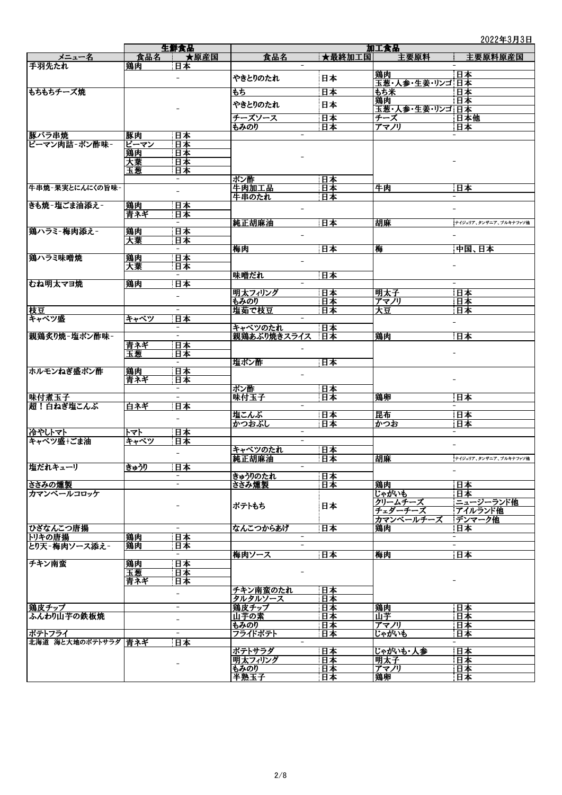## 2022年3月3日

|                     |      | 生鮮食品                     |                                      |        | 加工食品            |                          |  |
|---------------------|------|--------------------------|--------------------------------------|--------|-----------------|--------------------------|--|
| メニュー名               | 食品名  | ★原産国                     | 食品名                                  | ★最終加工国 | 主要原料            | 主要原料原産国                  |  |
| 手羽先たれ               | 鶏肉   | 日本                       |                                      |        |                 |                          |  |
|                     |      |                          |                                      |        | 鶏肉              | 日本                       |  |
|                     |      |                          | やきとりのたれ                              | 日本     | 玉葱・人参・生姜・リンゴ 日本 |                          |  |
| もちもちチーズ焼            |      |                          | もち                                   | 日本     | もち米             | 日本                       |  |
|                     |      |                          | やきとりのたれ                              | 日本     | 鶏肉              | 日本                       |  |
|                     |      |                          |                                      |        | 玉葱・人参・生姜・リンゴ 日本 |                          |  |
|                     |      |                          | チーズソース                               | 日本     | チーズ             | 日本他                      |  |
|                     |      |                          | もみのり                                 | 日本     | アマノリ            | 日本                       |  |
| 豚バラ串焼               | 豚肉   | 日本                       |                                      |        |                 |                          |  |
| ピーマン肉詰-ポン酢味-        | ピーマン | 日本                       |                                      |        |                 |                          |  |
|                     | 鶏肉   | 日本                       |                                      |        |                 |                          |  |
|                     | 大葉   | 日本                       |                                      |        |                 |                          |  |
|                     | 玉葱   | 日本                       |                                      |        |                 |                          |  |
|                     |      | $\overline{\phantom{a}}$ | ポン酢                                  | 日本     |                 |                          |  |
| 牛串焼-果実とにんにくの旨味-     |      |                          | 牛肉加工品                                | 日本     | 牛肉              | 日本                       |  |
|                     |      |                          | 牛串のたれ                                | 日本     |                 |                          |  |
| きも焼-塩ごま油添え-         | 鶏肉   | 日本                       |                                      |        |                 |                          |  |
|                     | 青ネギ  | 日本                       |                                      |        |                 |                          |  |
|                     |      |                          | 純正胡麻油                                | 日本     | 胡麻              | ナイジェリア、タンザニア、ブルキナファソ他    |  |
| 鶏ハラミ-梅肉添え-          | 鶏肉   | 日本                       |                                      |        |                 |                          |  |
|                     | 大葉   | 日本                       |                                      |        |                 |                          |  |
|                     |      |                          | 梅肉                                   | 日本     | 梅               | 中国、日本                    |  |
| 鷄ハラミ味噌焼             | 鶏肉   | 日本                       |                                      |        |                 |                          |  |
|                     | 大葉   | 日本                       |                                      |        |                 |                          |  |
|                     |      | $\overline{\phantom{a}}$ | 味噌だれ                                 | 日本     |                 |                          |  |
| むね明太マヨ焼             | 鶏肉   | 日本                       | $\overline{\phantom{a}}$             |        |                 | $\overline{\phantom{a}}$ |  |
|                     |      | $\overline{\phantom{0}}$ | 明太フィリング                              | 日本     | 明太子             | 日本                       |  |
|                     |      |                          | もみのり                                 | 日本     | アマノリ            | 日本                       |  |
| 枝豆                  |      |                          | 塩茹で枝豆                                | 日本     | 大豆              | 日本                       |  |
| キャベツ盛               | キャベツ | 日本                       | $\overline{\phantom{0}}$             |        |                 |                          |  |
|                     |      |                          | キャベツのたれ                              | 日本     |                 |                          |  |
| 親鶏炙り焼-塩ポン酢味-        |      |                          | 親鶏あぶり焼きスライス                          | 日本     | 鶏肉              | 日本                       |  |
|                     | 青ネギ  | 日本                       |                                      |        |                 |                          |  |
|                     | 玉葱   | 日本                       |                                      |        |                 |                          |  |
|                     |      |                          | 塩ポン酢                                 | 日本     |                 |                          |  |
| ホルモンねぎ盛ポン酢          | 鶏肉   | 日本                       |                                      |        |                 |                          |  |
|                     | 青ネギ  | 日本                       |                                      |        |                 |                          |  |
|                     |      | $\qquad \qquad -$        | ポン酢                                  | 日本     |                 |                          |  |
| 味付煮玉子               |      | $\overline{\phantom{0}}$ | 味付玉子                                 | 日本     | 鶏卵              | 日本                       |  |
| 超!白ねぎ塩こんぶ           | 白ネギ  | 日本                       | $\overline{\phantom{0}}$             |        |                 |                          |  |
|                     |      | -                        | 塩こんぶ                                 | 日本     | 昆布              | 日本                       |  |
|                     |      |                          | かつおぶし                                | 日本     | かつお             | 日本                       |  |
| 冷やしトマト              | トマト  | 日本                       |                                      |        |                 |                          |  |
| キャベツ盛+ごま油           | キャベツ | 日本                       |                                      |        |                 |                          |  |
|                     |      | $\overline{\phantom{a}}$ | キャベツのたれ                              | 日本     |                 |                          |  |
|                     |      |                          | 純正胡麻油                                | 日本     | 胡麻              | ナイジェリア、タンザニア、ブルキナファソ他    |  |
| 塩だれキューリ             | きゅうり | 日本                       |                                      |        |                 | $\overline{\phantom{a}}$ |  |
|                     |      | $\overline{\phantom{0}}$ | きゅうりのたれ                              | 日本     |                 |                          |  |
| ささみの燻製              |      |                          | ささみ燻製                                | 日本     | 鶏肉              | 日本                       |  |
| カマンベールコロッケ          |      |                          |                                      |        | じゃがいも           | 日本                       |  |
|                     |      |                          | ポテトもち                                | 日本     | クリームチーズ         | ニュージーランド他                |  |
|                     |      |                          |                                      |        | チェダーチーズ         | アイルランド他                  |  |
|                     |      | $\overline{a}$           |                                      |        | カマンベールチーズ       | デンマーク他                   |  |
| ひざなんこつ唐揚            |      |                          | なんこつからあげ<br>$\overline{\phantom{a}}$ | 日本     | 鶏肉              | 日本                       |  |
| トリキの唐揚              | 鶏肉   | 日本                       |                                      |        |                 | $\overline{\phantom{a}}$ |  |
| とり天-梅肉ソース添え-        | 鶏肉   | 日本                       |                                      |        |                 |                          |  |
|                     |      |                          | 梅肉ソース                                | 日本     | 梅肉              | 日本                       |  |
| チキン南蛮               | 鶏肉   | 日本                       |                                      |        |                 |                          |  |
|                     | 玉葱   | 日本                       |                                      |        |                 |                          |  |
|                     | 青ネギ  | 日本                       |                                      |        |                 |                          |  |
|                     |      | $\overline{\phantom{a}}$ | チキン南蛮のたれ                             | 日本     |                 |                          |  |
|                     |      |                          | タルタルソース                              | 日本     |                 |                          |  |
| 鶏皮チップ               |      | $\overline{\phantom{0}}$ | 鶏皮チップ                                | 日本     | 鶏肉              | 日本                       |  |
| ふんわり山芋の鉄板焼          |      | $\overline{\phantom{0}}$ | 山芋の素                                 | 日本     | 山芋              | 日本                       |  |
|                     |      |                          | もみのり                                 | 日本     | アマノリ            | 日本                       |  |
| ポテトフライ              |      | $\overline{\phantom{0}}$ | フライドポテト                              | 日本     | じゃがいも           | 日本                       |  |
| 北海道 海と大地のポテトサラダ 青ネギ |      | 日本                       | $\overline{\phantom{a}}$             |        |                 |                          |  |
|                     |      |                          | ポテトサラダ                               | 日本     | じゃがいも・人参        | 日本                       |  |
|                     |      |                          | 明太フィリング                              | 日本     | <b>明太子</b>      | 日本                       |  |
|                     |      |                          | もみのり                                 | 日本     | アマノリ            | 日本                       |  |
|                     |      |                          | 半熟玉子                                 | 日本     | 鶏卵              | 日本                       |  |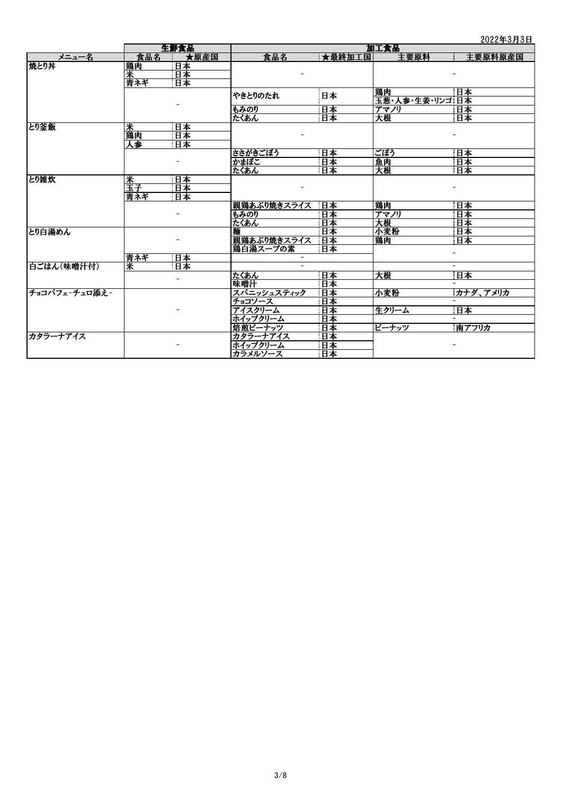|               |         | 生鮮食品 | 4044305<br>加工食品          |        |                |          |
|---------------|---------|------|--------------------------|--------|----------------|----------|
| メニュー名         |         | ★原産国 |                          | ★最終加工国 | 主要原料           |          |
|               | 食品名     |      | 食品名                      |        |                | 主要原料原産国  |
| 焼とり丼          | 鶏肉<br>米 | 日本   |                          |        |                |          |
|               |         | 日本   |                          |        |                |          |
|               | 青ネギ     | 日本   |                          |        |                |          |
|               |         |      | やきとりのたれ                  | 日本     | 鶏肉             | 日本       |
|               |         |      |                          |        | 玉葱・人参・生姜・リンゴ日本 |          |
|               |         |      | もみのり                     | 日本     | アマノリ           | 日本       |
|               |         |      | たくあん                     | 日本     | 大根             | 甘本       |
| とり釜飯          | 米<br>鶏肉 | 日本   |                          |        |                |          |
|               |         | 日本   |                          |        |                |          |
|               | 人参      | 日本   |                          |        |                |          |
|               |         |      | ささがきごぼう                  | 日本     | ごぼう            | 日本       |
|               |         |      | かまぼこ                     | 日本     | 魚肉             | 日本       |
|               |         |      | たくあん                     | 日本     | 天根             | 日本       |
| とり雑炊          | 釆       | 日本   |                          |        |                |          |
|               | 玉子      | 日本   |                          |        |                |          |
|               | 青ネギ     | 日本   |                          |        |                |          |
|               |         |      | 親鶏あぶり焼きスライス              | 日本     | 鶏肉             | 日本       |
|               |         |      | もみのり                     | 日本     | アマノリ           | 日本       |
|               |         |      | たくあん                     | 日本     | 大根             | 日本       |
| とり白湯めん        |         |      |                          | 日本     | 小麦粉            | 日本       |
|               |         |      | 親鶏あぶり焼きスライス              | 日本     | 鶏肉             | 日本       |
|               |         |      | 鶏白湯スープの素                 | 日本     |                |          |
|               | 青ネギ     | 日本   |                          |        |                |          |
| 白ごはん(味噌汁付)    | 米       | 日本   | $\overline{\phantom{a}}$ |        |                |          |
|               |         |      |                          |        |                |          |
|               |         |      | たくあん                     | 日本     | 大根             | 日本       |
|               |         |      | 味噌汁                      | 日本     |                |          |
| チョコパフェ-チュロ添え- |         |      | スパニッシュスティック              | 日本     | 小麦粉            | カナダ、アメリカ |
|               |         |      | チョコソース                   | 日本     |                |          |
|               |         |      | アイスクリーム                  | 日本     | 生クリーム          | 日本       |
|               |         |      | ホイップクリーム                 | 日本     |                |          |
|               |         |      | 焙煎ピーナッツ                  | 日本     | ピーナッツ          | 南アフリカ    |
| カタラーナアイス      |         |      | カタラーナアイス                 | 日本     |                |          |
|               |         |      | ホイップクリーム                 | 日本     |                |          |
|               |         |      | カラメルソース                  | 日本     |                |          |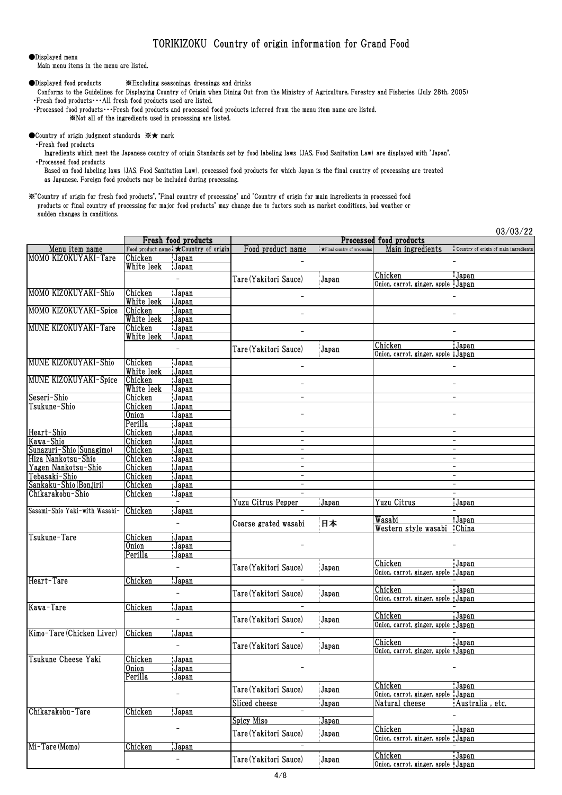## TORIKIZOKU Country of origin information for Grand Food

## ●Displayed menu

Main menu items in the menu are listed.

●Displayed food products ※Excluding seasonings, dressings and drinks

 Conforms to the Guidelines for Displaying Country of Origin when Dining Out from the Ministry of Agriculture, Forestry and Fisheries (July 28th, 2005) ・Fresh food products・・・All fresh food products used are listed.

 ・Processed food products・・・Fresh food products and processed food products inferred from the menu item name are listed. ※Not all of the ingredients used in processing are listed.

## ●Country of origin judgment standards ※★ mark

・Fresh food products

 Ingredients which meet the Japanese country of origin Standards set by food labeling laws (JAS, Food Sanitation Law) are displayed with "Japan". ・Processed food products

 Based on food labeling laws (JAS, Food Sanitation Law), processed food products for which Japan is the final country of processing are treated as Japanese. Foreign food products may be included during processing.

※"Country of origin for fresh food products", "Final country of processing" and "Country of origin for main ingredients in processed food products or final country of processing for major food products" may change due to factors such as market conditions, bad weather or sudden changes in conditions.

|                               |            |                                       |                          |                                        |                                    | 03/03/22                              |
|-------------------------------|------------|---------------------------------------|--------------------------|----------------------------------------|------------------------------------|---------------------------------------|
|                               |            | Fresh food products                   |                          |                                        | Processed food products            |                                       |
| Menu item name                |            | Food product name : Country of origin | Food product name        | $\bigstar$ Final country of processing | Main ingredients                   | Country of origin of main ingredients |
| MOMO KIZOKUYAKI-Tare          | Chicken    | Japan                                 |                          |                                        |                                    |                                       |
|                               | White leek | Japan                                 |                          |                                        |                                    |                                       |
|                               |            | $\overline{a}$                        | Tare (Yakitori Sauce)    | Japan                                  | Chicken                            | Japan                                 |
|                               |            |                                       |                          |                                        | Onion, carrot, ginger, apple Japan |                                       |
| MOMO KIZOKUYAKI-Shio          | Chicken    | Japan                                 |                          |                                        |                                    |                                       |
|                               | White leek | Japan                                 |                          |                                        |                                    |                                       |
| MOMO KIZOKUYAKI-Spice         | Chicken    | Japan                                 |                          |                                        |                                    |                                       |
|                               | White leek | Japan                                 |                          |                                        |                                    |                                       |
| MUNE KIZOKUYAKI-Tare          | Chicken    | Japan                                 |                          |                                        |                                    |                                       |
|                               | White leek | Japan                                 |                          |                                        |                                    |                                       |
|                               |            | $\overline{\phantom{0}}$              | Tare (Yakitori Sauce)    | Japan                                  | Chicken                            | Japan                                 |
|                               |            |                                       |                          |                                        | Onion, carrot, ginger, apple Japan |                                       |
| <b>MUNE KIZOKUYAKI-Shio</b>   | Chicken    | Japan                                 | $\overline{\phantom{a}}$ |                                        |                                    |                                       |
|                               | White leek | Japan                                 |                          |                                        |                                    |                                       |
| <b>MUNE KIZOKUYAKI-Spice</b>  | Chicken    | Japan                                 | $\overline{a}$           |                                        |                                    |                                       |
|                               | White leek | Japan                                 |                          |                                        |                                    |                                       |
| Seseri-Shio                   | Chicken    | Japan                                 | $\overline{\phantom{a}}$ |                                        |                                    |                                       |
| Tsukune-Shio                  | Chicken    | Japan                                 |                          |                                        |                                    |                                       |
|                               | Onion      | Japan                                 |                          |                                        |                                    |                                       |
|                               | Perilla    | Japan                                 | $\overline{\phantom{a}}$ |                                        |                                    |                                       |
| Heart-Shio                    | Chicken    | Japan                                 | $\overline{\phantom{a}}$ |                                        |                                    | $\overline{a}$                        |
| Kawa-Shio                     | Chicken    | Japan                                 | -                        |                                        |                                    |                                       |
| Sunazuri-Shio (Sunagimo)      | Chicken    | Japan                                 |                          |                                        |                                    |                                       |
| Hiza Nankotsu-Shio            | Chicken    | Japan                                 | $\qquad \qquad -$        |                                        |                                    | $\overline{\phantom{a}}$              |
| Yagen Nankotsu-Shio           | Chicken    | Japan                                 | $\overline{\phantom{a}}$ |                                        |                                    | $\overline{\phantom{a}}$              |
| Tebasaki-Shio                 | Chicken    | Japan                                 | $\overline{\phantom{a}}$ |                                        |                                    | $ \,$                                 |
| Sankaku-Shio (Bonjiri)        | Chicken    | Japan                                 |                          |                                        |                                    |                                       |
| Chikarakobu-Shio              | Chicken    | Japan<br>$-$                          |                          |                                        |                                    |                                       |
| Sasami-Shio Yaki-with Wasabi- |            |                                       | Yuzu Citrus Pepper       | Japan                                  | Yuzu Citrus                        | Japan                                 |
|                               | Chicken    | Japan                                 |                          |                                        | Wasabi                             |                                       |
|                               |            | $\overline{\phantom{a}}$              | Coarse grated wasabi     | 日本                                     | Western style wasabi               | Japan<br>China                        |
| Tsukune-Tare                  | Chicken    | Japan                                 |                          |                                        |                                    |                                       |
|                               | Onion      | Japan                                 |                          |                                        |                                    |                                       |
|                               | Perilla    | Japan                                 |                          |                                        |                                    |                                       |
|                               |            |                                       |                          |                                        | Chicken                            | Japan                                 |
|                               |            | $\overline{\phantom{a}}$              | Tare (Yakitori Sauce)    | Japan                                  | Onion, carrot, ginger, apple Japan |                                       |
| Heart-Tare                    | Chicken    | Japan                                 |                          |                                        |                                    |                                       |
|                               |            |                                       |                          |                                        | Chicken                            | Japan                                 |
|                               |            | $\overline{\phantom{0}}$              | Tare (Yakitori Sauce)    | Japan                                  | Onion, carrot, ginger, apple Japan |                                       |
| Kawa-Tare                     | Chicken    | Japan                                 |                          |                                        |                                    |                                       |
|                               |            |                                       |                          |                                        | Chicken                            | Japan                                 |
|                               |            | $\overline{\phantom{0}}$              | Tare (Yakitori Sauce)    | Japan                                  | Onion, carrot, ginger, apple Japan |                                       |
| Kimo-Tare (Chicken Liver)     | Chicken    | Japan                                 |                          |                                        |                                    |                                       |
|                               |            |                                       |                          |                                        | Chicken                            | Japan                                 |
|                               |            |                                       | Tare (Yakitori Sauce)    | Japan                                  | Onion, carrot, ginger, apple Japan |                                       |
| Tsukune Cheese Yaki           | Chicken    | Japan                                 |                          |                                        |                                    |                                       |
|                               | Onion      | <u>Japan</u>                          |                          |                                        |                                    |                                       |
|                               | Perilla    | Japan                                 |                          |                                        |                                    |                                       |
|                               |            |                                       |                          |                                        | Chicken                            | Japan                                 |
|                               |            | $\overline{\phantom{a}}$              | Tare (Yakitori Sauce)    | Japan                                  | Onion, carrot, ginger, apple       | Japan                                 |
|                               |            |                                       | Sliced cheese            | <u>Japan</u>                           | Natural cheese                     | Australia, etc.                       |
| Chikarakobu-Tare              | Chicken    | Japan                                 | $\qquad \qquad -$        |                                        |                                    |                                       |
|                               |            |                                       | Spicy Miso               | Japan                                  |                                    |                                       |
|                               |            |                                       |                          |                                        | Chicken                            | Japan                                 |
|                               |            |                                       | Tare (Yakitori Sauce)    | Japan                                  | Onion, carrot, ginger, apple Japan |                                       |
| Mi-Tare (Momo)                | Chicken    | Japan                                 |                          |                                        |                                    |                                       |
|                               |            | $\overline{\phantom{a}}$              |                          |                                        | Chicken                            | Japan                                 |
|                               |            |                                       | Tare (Yakitori Sauce)    | Japan                                  | Onion, carrot, ginger, apple Japan |                                       |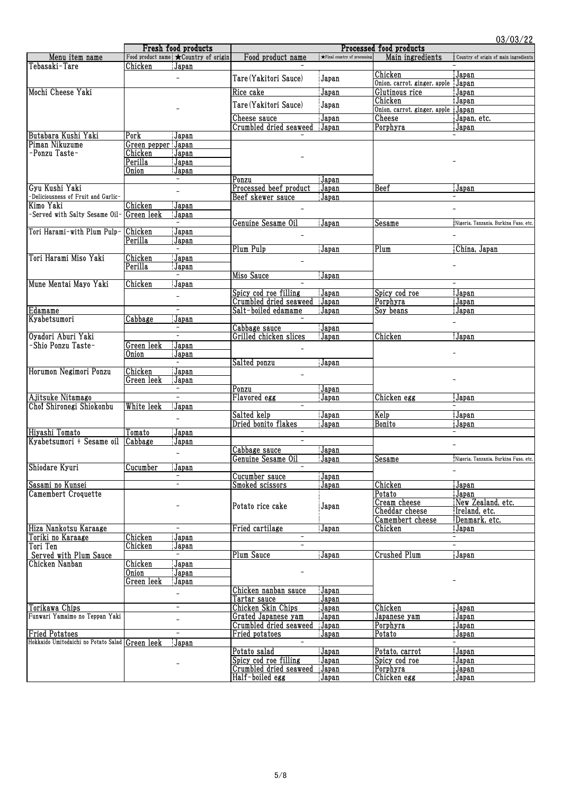|                                                 |                    | Fresh food products                  |                          |                                        | Processed food products            | 03/03/22                              |
|-------------------------------------------------|--------------------|--------------------------------------|--------------------------|----------------------------------------|------------------------------------|---------------------------------------|
| Menu item name                                  |                    | Food product name *Country of origin | Food product name        | $\bigstar$ Final country of processing | Main ingredients                   | Country of origin of main ingredients |
| Tebasaki-Tare                                   | Chicken            | Japan                                |                          |                                        |                                    |                                       |
|                                                 |                    |                                      |                          |                                        | Chicken                            | Japan                                 |
|                                                 |                    | $\overline{\phantom{0}}$             | Tare (Yakitori Sauce)    | Japan                                  | Onion, carrot, ginger, apple Japan |                                       |
| Mochi Cheese Yaki                               |                    |                                      | Rice cake                | Japan                                  | Glutinous rice                     | Japan                                 |
|                                                 |                    |                                      |                          |                                        | Chicken                            | Japan                                 |
|                                                 |                    |                                      | Tare (Yakitori Sauce)    | Japan                                  | Onion, carrot, ginger, apple Japan |                                       |
|                                                 |                    |                                      | Cheese sauce             | Japan                                  | Cheese                             | Japan, etc.                           |
|                                                 |                    |                                      | Crumbled dried seaweed   | Japan                                  | Porphyra                           | Japan                                 |
| Butabara Kushi Yaki                             | Pork               | Japan                                |                          |                                        |                                    |                                       |
| Piman Nikuzume                                  | Green pepper Japan |                                      |                          |                                        |                                    |                                       |
| -Ponzu Taste-                                   | Chicken            | Japan                                |                          |                                        |                                    |                                       |
|                                                 | Perilla            | Japan                                |                          |                                        |                                    |                                       |
|                                                 | Onion              | Japan                                |                          |                                        |                                    |                                       |
|                                                 |                    |                                      | Ponzu                    | Japan                                  |                                    |                                       |
| Gyu Kushi Yaki                                  |                    | $\overline{\phantom{0}}$             | Processed beef product   | Japan                                  | Beef                               | Japan                                 |
| -Deliciousness of Fruit and Garlic-             |                    |                                      | Beef skewer sauce        | Japan                                  |                                    |                                       |
| Kimo Yaki                                       | Chicken            | Japan                                |                          |                                        |                                    |                                       |
| -Served with Salty Sesame Oil-                  | Green leek         | Japan                                |                          |                                        |                                    |                                       |
|                                                 |                    | $\overline{\phantom{0}}$             | Genuine Sesame Oil       | Japan                                  | Sesame                             | Nigeria, Tanzania, Burkina Faso, etc. |
| Tori Harami-with Plum Pulp-                     | Chicken            | Japan                                |                          |                                        |                                    |                                       |
|                                                 | Perilla            | Japan                                |                          |                                        |                                    |                                       |
|                                                 |                    | $\overline{\phantom{0}}$             | Plum Pulp                | Japan                                  | Plum                               | China, Japan                          |
| Tori Harami Miso Yaki                           | Chicken            | Japan                                |                          |                                        |                                    |                                       |
|                                                 | Perilla            | Japan                                | -                        |                                        |                                    |                                       |
|                                                 |                    |                                      | Miso Sauce               | Japan                                  |                                    |                                       |
| Mune Mentai Mayo Yaki                           | Chicken            | Japan                                |                          |                                        |                                    |                                       |
|                                                 |                    | -                                    | Spicy cod roe filling    | Japan                                  | Spicy cod roe                      | Japan                                 |
|                                                 |                    |                                      | Crumbled dried seaweed   | Japan                                  | Porphyra                           | Japan                                 |
| Edamame                                         |                    | $\overline{\phantom{a}}$             | Salt-boiled edamame      | Japan                                  | Soy beans                          | Japan                                 |
| Kyabetsumori                                    | Cabbage            | Japan                                |                          |                                        |                                    |                                       |
|                                                 |                    | $\overline{\phantom{a}}$             | Cabbage sauce            | Japan                                  |                                    |                                       |
| Oyadori Aburi Yaki                              |                    | Ξ                                    | Grilled chicken slices   | Japan                                  | Chicken                            | Japan                                 |
| -Shio Ponzu Taste-                              | Green leek         | Japan                                |                          |                                        |                                    |                                       |
|                                                 | Onion              | Japan                                |                          |                                        |                                    |                                       |
|                                                 |                    | $\overline{\phantom{a}}$             | Salted ponzu             | Japan                                  |                                    |                                       |
| Horumon Negimori Ponzu                          | Chicken            | Japan                                |                          |                                        |                                    |                                       |
|                                                 | Green leek         | Japan                                | $\overline{a}$           |                                        |                                    |                                       |
|                                                 |                    |                                      | Ponzu                    | Japan                                  |                                    |                                       |
| Ajitsuke Nitamago                               |                    | $\overline{\phantom{a}}$             | Flavored egg             | Japan                                  | Chicken egg                        | Japan                                 |
| Cho! Shironegi Shiokonbu                        | White leek         | Japan                                |                          |                                        |                                    |                                       |
|                                                 |                    |                                      | Salted kelp              | Japan                                  | Kelp                               | Japan                                 |
|                                                 |                    | $\overline{a}$                       | Dried bonito flakes      | Japan                                  | <b>Bonito</b>                      | Japan                                 |
| Hiyashi Tomato                                  | Tomato             | Japan                                |                          |                                        |                                    | $\overline{\phantom{a}}$              |
| Kyabetsumori + Sesame oil                       | Cabbage            | Japan                                | $\overline{\phantom{a}}$ |                                        |                                    |                                       |
|                                                 |                    |                                      | Cabbage sauce            | Japan                                  |                                    |                                       |
|                                                 |                    |                                      | Genuine Sesame Oil       | Japan                                  | Sesame                             | Nigeria, Tanzania, Burkina Faso, etc. |
| Shiodare Kyuri                                  | Cucumber           | Japan                                |                          |                                        |                                    |                                       |
|                                                 |                    | -                                    | Cucumber sauce           | Japan                                  |                                    |                                       |
| Sasami no Kunsei                                |                    |                                      | <u>Smoked scissors</u>   | <u>Japan</u>                           | Chicken                            | Japan                                 |
| Camembert Croquette                             |                    |                                      |                          |                                        | Potato                             | Japan                                 |
|                                                 |                    | -                                    | Potato rice cake         |                                        | Cream cheese                       | New Zealand, etc.                     |
|                                                 |                    |                                      |                          | Japan                                  | Cheddar cheese                     | Ireland, etc.                         |
|                                                 |                    |                                      |                          |                                        | Camembert cheese                   | Denmark, etc.                         |
| Hiza Nankotsu Karaage                           |                    | $\overline{\phantom{a}}$             | Fried cartilage          | Japan                                  | Chicken                            | Japan                                 |
| Toriki no Karaage                               | Chicken            | Japan                                | $\overline{\phantom{a}}$ |                                        |                                    | -                                     |
| Tori Ten                                        | Chicken            | Japan                                | $\overline{\phantom{a}}$ |                                        |                                    | $\overline{\phantom{0}}$              |
| Served with Plum Sauce                          |                    | Ξ.                                   | Plum Sauce               | Japan                                  | Crushed Plum                       | Japan                                 |
| Chicken Nanban                                  | Chicken            | Japan                                |                          |                                        |                                    |                                       |
|                                                 | Onion              | Japan                                |                          |                                        |                                    |                                       |
|                                                 | Green leek         | Japan                                |                          |                                        |                                    |                                       |
|                                                 |                    | $\overline{\phantom{a}}$             | Chicken nanban sauce     | Japan                                  |                                    |                                       |
|                                                 |                    |                                      | Tartar sauce             | Japan                                  |                                    |                                       |
| Torikawa Chips                                  |                    | $\qquad \qquad -$                    | Chicken Skin Chips       | Japan                                  | Chicken                            | Japan                                 |
| Funwari Yamaimo no Teppan Yaki                  |                    | $\overline{\phantom{0}}$             | Grated Japanese yam      | Japan                                  | Japanese yam                       | Japan                                 |
|                                                 |                    |                                      | Crumbled dried seaweed   | Japan                                  | Porphyra                           | Japan                                 |
| <b>Fried Potatoes</b>                           |                    | $\overline{\phantom{a}}$             | Fried potatoes           | Japan                                  | Potato                             | Japan                                 |
| Hokkaido Umitodaichi no Potato Salad Green leek |                    | Japan                                | $\overline{\phantom{a}}$ |                                        |                                    | $-$                                   |
|                                                 |                    |                                      | Potato salad             | Japan                                  | <u>Potato, carrot</u>              | Japan                                 |
|                                                 |                    |                                      | Spicy cod roe filling    | Japan                                  | Spicy cod roe                      | Japan                                 |
|                                                 |                    | -                                    | Crumbled dried seaweed   | Japan                                  | Porphyra                           | Japan                                 |
|                                                 |                    |                                      | <u>Half-boiled egg</u>   | <u>Japan</u>                           | Chicken egg                        | <u>Japan</u>                          |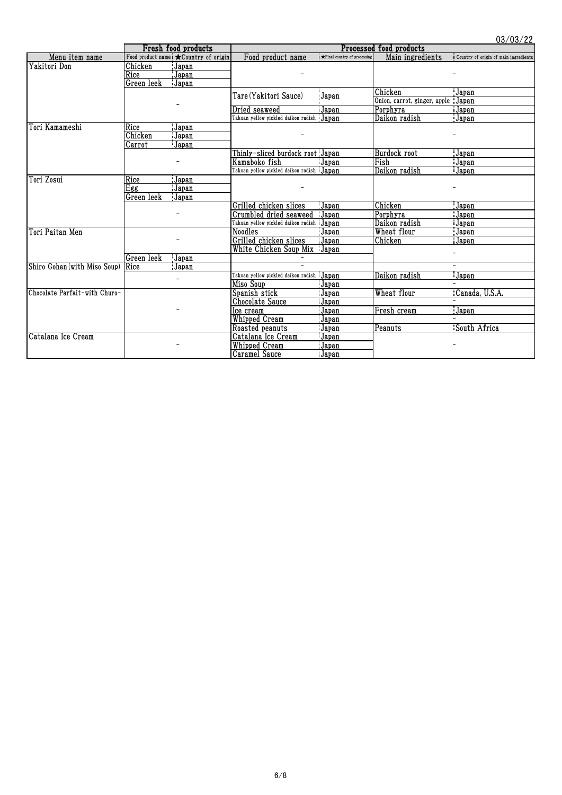|                               |            | Fresh food products                            |                                           |                              | VV/ VV/ LL<br>Processed food products |                                       |  |
|-------------------------------|------------|------------------------------------------------|-------------------------------------------|------------------------------|---------------------------------------|---------------------------------------|--|
| Menu item name                |            | Food product name $\bigstar$ Country of origin | Food product name                         | ★Final country of processing | Main ingredients                      | Country of origin of main ingredients |  |
| Yakitori Don                  | Chicken    | Japan                                          |                                           |                              |                                       |                                       |  |
|                               | Rice       | Japan                                          |                                           |                              |                                       |                                       |  |
|                               | Green leek | Japan                                          |                                           |                              |                                       |                                       |  |
|                               |            |                                                | Tare (Yakitori Sauce)                     | Japan                        | Chicken                               | Japan                                 |  |
|                               |            |                                                |                                           |                              | Onion, carrot, ginger, apple          | Japan                                 |  |
|                               |            |                                                | Dried seaweed                             | Japan                        | Porphyra                              | Japan                                 |  |
|                               |            |                                                |                                           |                              | Daikon radish                         | Japan                                 |  |
| Tori Kamameshi                | Rice       | Japan                                          |                                           |                              |                                       |                                       |  |
|                               | Chicken    | Japan                                          |                                           |                              |                                       |                                       |  |
|                               | Carrot     | Japan                                          |                                           |                              |                                       |                                       |  |
|                               |            |                                                | Thinly-sliced burdock root Japan          |                              | Burdock root                          | Japan                                 |  |
|                               |            |                                                | Kamaboko fish                             | Japan                        | Fish                                  | Japan                                 |  |
|                               |            |                                                | Takuan yellow pickled daikon radish Japan |                              | Daikon radish                         | Japan                                 |  |
| Tori Zosui                    | Rice       | Japan                                          |                                           |                              |                                       |                                       |  |
|                               | Egg        | Japan                                          |                                           |                              |                                       |                                       |  |
|                               | Green leek | Japan                                          |                                           |                              |                                       |                                       |  |
|                               |            |                                                | Grilled chicken slices                    | Japan                        | Chicken                               | Japan                                 |  |
|                               |            |                                                | Crumbled dried seaweed Japan              |                              | Porphyra                              | Japan                                 |  |
|                               |            |                                                | Takuan yellow pickled daikon radish Japan |                              | Daikon radish                         | Japan                                 |  |
| Tori Paitan Men               |            |                                                | Noodles                                   | Japan                        | Wheat flour                           | Japan                                 |  |
|                               |            |                                                | Grilled chicken slices                    | Japan                        | Chicken                               | Japan                                 |  |
|                               |            |                                                | White Chicken Soup Mix Japan              |                              |                                       |                                       |  |
|                               | Green leek | Japan                                          |                                           |                              |                                       |                                       |  |
| Shiro Gohan (with Miso Soup)  | Rice       | Japan                                          |                                           |                              |                                       |                                       |  |
|                               |            |                                                | Takuan yellow pickled daikon radish       | Japan                        | Daikon radish                         | Japan                                 |  |
|                               |            |                                                | Miso Soup                                 | Japan                        |                                       |                                       |  |
| Chocolate Parfait-with Churo- |            |                                                | Spanish stick                             | Japan                        | Wheat flour                           | Canada, U.S.A.                        |  |
|                               |            |                                                | Chocolate Sauce                           | Japan                        |                                       |                                       |  |
|                               |            |                                                | Ice cream                                 | Japan                        | Fresh cream                           | Japan                                 |  |
|                               |            |                                                | Whipped Cream                             | Japan                        |                                       |                                       |  |
|                               |            |                                                | Roasted peanuts                           | Japan                        | Peanuts                               | South Africa                          |  |
| Catalana Ice Cream            |            |                                                | Catalana Ice Cream                        | Japan                        |                                       |                                       |  |
|                               |            |                                                | Whipped Cream                             | Japan                        |                                       |                                       |  |
|                               |            |                                                | Caramel Sauce                             | Japan                        |                                       |                                       |  |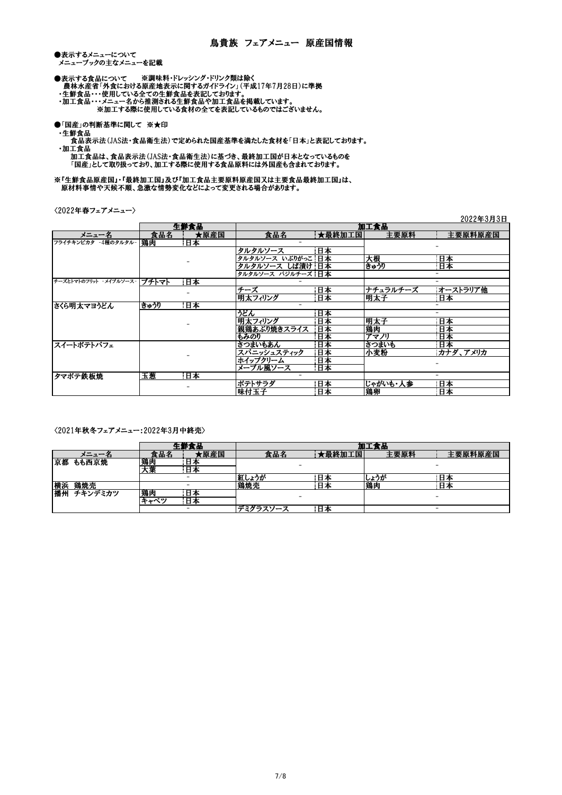●表示するメニューについて ース・フィーニー こっ、<br>メニューブックの主なメニューを記載

●表示する食品について ※調味料・ドレッシング・ドリンク類は除く 農林水産省「外食における原産地表示に関するガイドライン」(平成17年7月28日)に準拠

- ・生鮮食品・・・使用している全ての生鮮食品を表記しております。
- ・加工食品・・・メニュー名から推測される生鮮食品や加工食品を掲載しています。

※加工する際に使用している食材の全てを表記しているものではございません。

- ●「国産」の判断基準に関して ※★印
- ・生鮮食品

 食品表示法(JAS法・食品衛生法)で定められた国産基準を満たした食材を「日本」と表記しております。 ・加工食品

 加工食品は、食品表示法(JAS法・食品衛生法)に基づき、最終加工国が日本となっているものを 「国産」として取り扱っており、加工する際に使用する食品原料には外国産も含まれております。

※『生鮮食品原産国』・『最終加工国』及び『加工食品主要原料原産国又は主要食品最終加工国』は、 原材料事情や天候不順、急激な情勢変化などによって変更される場合があります。

〈2022年春フェアメニュー〉

|                              |      |      |                   |        |          | 4044+0月0日                |
|------------------------------|------|------|-------------------|--------|----------|--------------------------|
|                              |      | 生鮮食品 |                   |        | 加工食品     |                          |
| メニュー名                        | 食品名  | ★原産国 | 食品名               | ★最終加工国 | 主要原料     | 主要原料原産国                  |
| フライチキンピカタ -4種のタルタル-          | 鶏肉   | 日本   |                   |        |          |                          |
|                              |      |      | タルタルソース           | 日本     |          |                          |
|                              |      |      | タルタルソース いぶりがっこ 日本 |        | 大根       | 日本                       |
|                              |      |      | タルタルソース しば漬け 日本   |        | きゅうり     | 日本                       |
|                              |      |      | タルタルソース バジルチーズ 日本 |        |          |                          |
| チーズとトマトのフリット -メイプルソース- プチトマト |      | 日本   |                   |        |          |                          |
|                              |      |      | チーズ               | 日本     | ナチュラルチーズ | オーストラリア他                 |
|                              |      |      | 明太フィリング           | 日本     | 明太子      | 日本                       |
| さくら明太マヨうどん                   | きゅうり | 日本   |                   |        |          |                          |
|                              |      |      | うどん               | 日本     |          |                          |
|                              |      |      | 明太フィリング           | 日本     | 明太子      | 日本                       |
|                              |      |      | 親鶏あぶり焼きスライス       | 日本     | 鶏肉       | 日本                       |
|                              |      |      | もみのり              | 日本     | アマ川      | 日本                       |
| スイートポテトパフェ                   |      |      | さつまいもあん           | 日本     | さつまいも    | 日本                       |
|                              |      |      | スパニッシュスティック       | 日本     | 小麦粉      | カナダ、アメリカ                 |
|                              |      |      | ホイップクリーム          | 日本     |          |                          |
|                              |      |      | メープル風ソース          | 日本     |          |                          |
| タマポテ鉄板焼                      | 玉葱   | 日本   |                   |        |          | $\overline{\phantom{0}}$ |
|                              |      |      | ポテトサラダ            | 日本     | じゃがいも・人参 | 日本                       |
|                              |      |      | 味付玉子              | 日本     | 鶏卵       | 日本                       |

 $0.000 + 0.000$ 

〈2021年秋冬フェアメニュー:2022年3月中終売〉

|    |         |      |                          |          |        | 加工食品 |         |
|----|---------|------|--------------------------|----------|--------|------|---------|
|    | - 7.    | 食品名  | 原産国                      | 食品名      | τ最終加工国 | 主要原料 | 主要原料原産国 |
| 京都 | もも西京焼   | 鶏肉   | – 41≻                    |          |        |      |         |
|    |         | 大葉   | n<br>日本                  |          |        |      |         |
|    |         |      | -                        | しょうが     | 日本     | しょうが | 日本      |
| 横浜 | 鶏焼売     |      |                          | 鶏焼売      | 日本     | 鶏肉   | 日本      |
| 播州 | チキンデミカツ | 鶏肉   | 日本                       |          | ۰      |      |         |
|    |         | キュベツ | 日本                       |          |        |      |         |
|    |         |      | $\overline{\phantom{0}}$ | デミグラスソース | 日本     |      | -       |